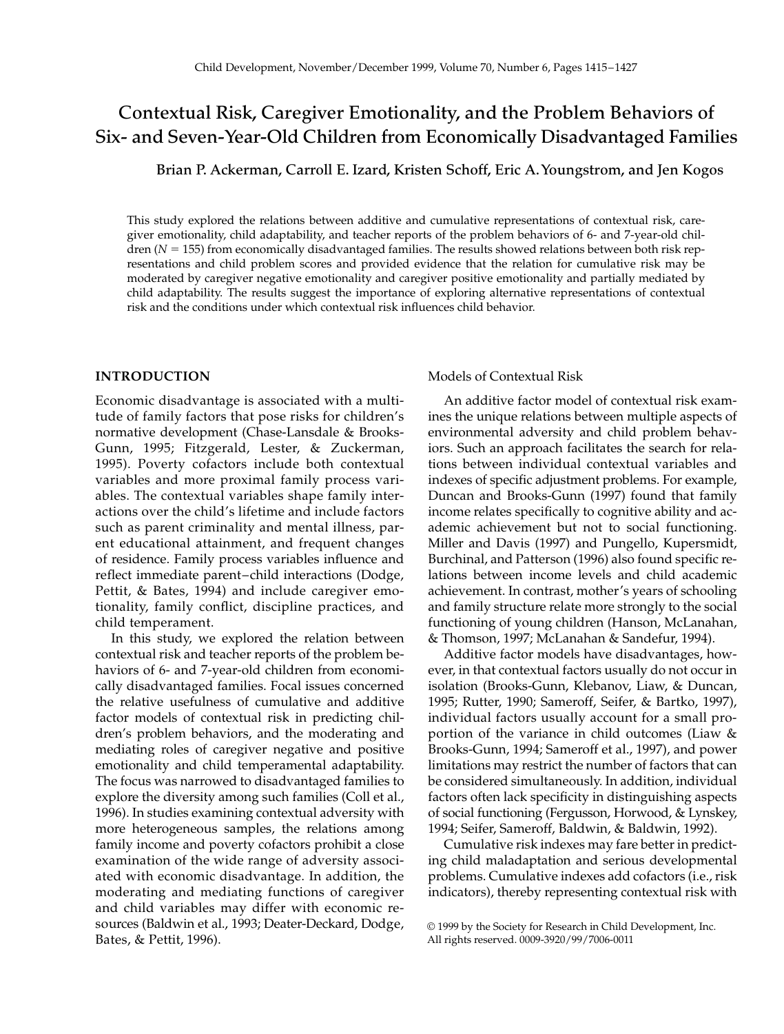# **Contextual Risk, Caregiver Emotionality, and the Problem Behaviors of Six- and Seven-Year-Old Children from Economically Disadvantaged Families**

**Brian P. Ackerman, Carroll E. Izard, Kristen Schoff, Eric A. Youngstrom, and Jen Kogos**

This study explored the relations between additive and cumulative representations of contextual risk, caregiver emotionality, child adaptability, and teacher reports of the problem behaviors of 6- and 7-year-old children  $(N = 155)$  from economically disadvantaged families. The results showed relations between both risk representations and child problem scores and provided evidence that the relation for cumulative risk may be moderated by caregiver negative emotionality and caregiver positive emotionality and partially mediated by child adaptability. The results suggest the importance of exploring alternative representations of contextual risk and the conditions under which contextual risk influences child behavior.

## **INTRODUCTION**

Economic disadvantage is associated with a multitude of family factors that pose risks for children's normative development (Chase-Lansdale & Brooks-Gunn, 1995; Fitzgerald, Lester, & Zuckerman, 1995). Poverty cofactors include both contextual variables and more proximal family process variables. The contextual variables shape family interactions over the child's lifetime and include factors such as parent criminality and mental illness, parent educational attainment, and frequent changes of residence. Family process variables influence and reflect immediate parent–child interactions (Dodge, Pettit, & Bates, 1994) and include caregiver emotionality, family conflict, discipline practices, and child temperament.

In this study, we explored the relation between contextual risk and teacher reports of the problem behaviors of 6- and 7-year-old children from economically disadvantaged families. Focal issues concerned the relative usefulness of cumulative and additive factor models of contextual risk in predicting children's problem behaviors, and the moderating and mediating roles of caregiver negative and positive emotionality and child temperamental adaptability. The focus was narrowed to disadvantaged families to explore the diversity among such families (Coll et al., 1996). In studies examining contextual adversity with more heterogeneous samples, the relations among family income and poverty cofactors prohibit a close examination of the wide range of adversity associated with economic disadvantage. In addition, the moderating and mediating functions of caregiver and child variables may differ with economic resources (Baldwin et al., 1993; Deater-Deckard, Dodge, Bates, & Pettit, 1996).

# Models of Contextual Risk

An additive factor model of contextual risk examines the unique relations between multiple aspects of environmental adversity and child problem behaviors. Such an approach facilitates the search for relations between individual contextual variables and indexes of specific adjustment problems. For example, Duncan and Brooks-Gunn (1997) found that family income relates specifically to cognitive ability and academic achievement but not to social functioning. Miller and Davis (1997) and Pungello, Kupersmidt, Burchinal, and Patterson (1996) also found specific relations between income levels and child academic achievement. In contrast, mother's years of schooling and family structure relate more strongly to the social functioning of young children (Hanson, McLanahan, & Thomson, 1997; McLanahan & Sandefur, 1994).

Additive factor models have disadvantages, however, in that contextual factors usually do not occur in isolation (Brooks-Gunn, Klebanov, Liaw, & Duncan, 1995; Rutter, 1990; Sameroff, Seifer, & Bartko, 1997), individual factors usually account for a small proportion of the variance in child outcomes (Liaw & Brooks-Gunn, 1994; Sameroff et al., 1997), and power limitations may restrict the number of factors that can be considered simultaneously. In addition, individual factors often lack specificity in distinguishing aspects of social functioning (Fergusson, Horwood, & Lynskey, 1994; Seifer, Sameroff, Baldwin, & Baldwin, 1992).

Cumulative risk indexes may fare better in predicting child maladaptation and serious developmental problems. Cumulative indexes add cofactors (i.e., risk indicators), thereby representing contextual risk with

<sup>© 1999</sup> by the Society for Research in Child Development, Inc. All rights reserved. 0009-3920/99/7006-0011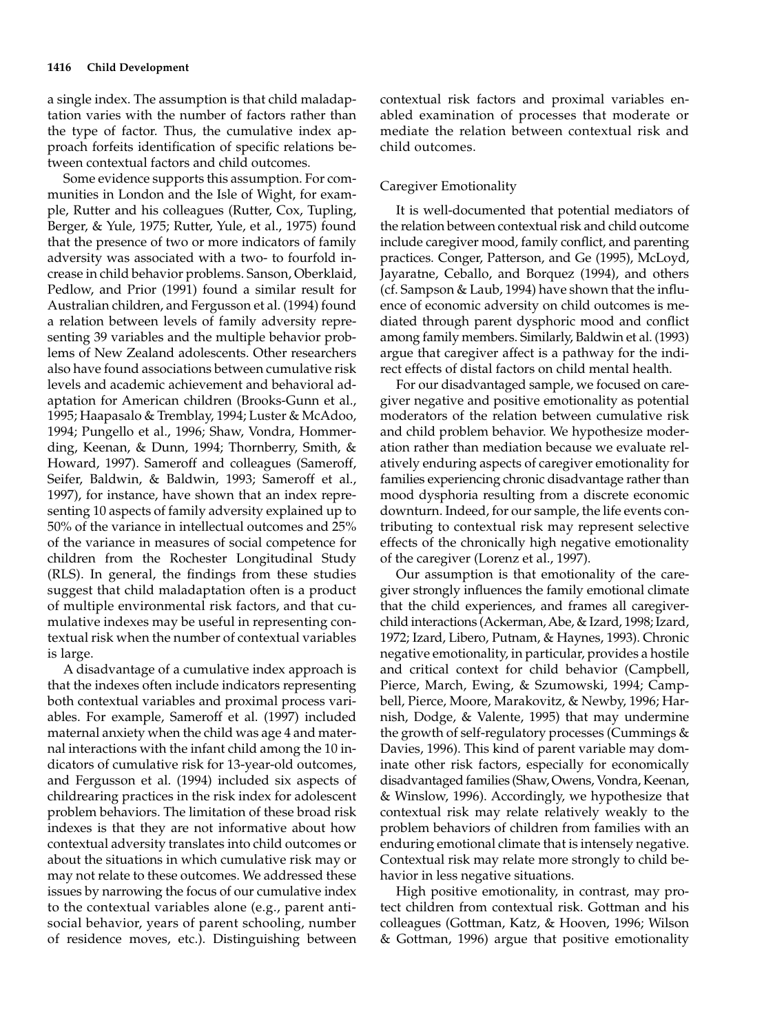a single index. The assumption is that child maladaptation varies with the number of factors rather than the type of factor. Thus, the cumulative index approach forfeits identification of specific relations between contextual factors and child outcomes.

Some evidence supports this assumption. For communities in London and the Isle of Wight, for example, Rutter and his colleagues (Rutter, Cox, Tupling, Berger, & Yule, 1975; Rutter, Yule, et al., 1975) found that the presence of two or more indicators of family adversity was associated with a two- to fourfold increase in child behavior problems. Sanson, Oberklaid, Pedlow, and Prior (1991) found a similar result for Australian children, and Fergusson et al. (1994) found a relation between levels of family adversity representing 39 variables and the multiple behavior problems of New Zealand adolescents. Other researchers also have found associations between cumulative risk levels and academic achievement and behavioral adaptation for American children (Brooks-Gunn et al., 1995; Haapasalo & Tremblay, 1994; Luster & McAdoo, 1994; Pungello et al., 1996; Shaw, Vondra, Hommerding, Keenan, & Dunn, 1994; Thornberry, Smith, & Howard, 1997). Sameroff and colleagues (Sameroff, Seifer, Baldwin, & Baldwin, 1993; Sameroff et al., 1997), for instance, have shown that an index representing 10 aspects of family adversity explained up to 50% of the variance in intellectual outcomes and 25% of the variance in measures of social competence for children from the Rochester Longitudinal Study (RLS). In general, the findings from these studies suggest that child maladaptation often is a product of multiple environmental risk factors, and that cumulative indexes may be useful in representing contextual risk when the number of contextual variables is large.

A disadvantage of a cumulative index approach is that the indexes often include indicators representing both contextual variables and proximal process variables. For example, Sameroff et al. (1997) included maternal anxiety when the child was age 4 and maternal interactions with the infant child among the 10 indicators of cumulative risk for 13-year-old outcomes, and Fergusson et al. (1994) included six aspects of childrearing practices in the risk index for adolescent problem behaviors. The limitation of these broad risk indexes is that they are not informative about how contextual adversity translates into child outcomes or about the situations in which cumulative risk may or may not relate to these outcomes. We addressed these issues by narrowing the focus of our cumulative index to the contextual variables alone (e.g., parent antisocial behavior, years of parent schooling, number of residence moves, etc.). Distinguishing between

contextual risk factors and proximal variables enabled examination of processes that moderate or mediate the relation between contextual risk and child outcomes.

## Caregiver Emotionality

It is well-documented that potential mediators of the relation between contextual risk and child outcome include caregiver mood, family conflict, and parenting practices. Conger, Patterson, and Ge (1995), McLoyd, Jayaratne, Ceballo, and Borquez (1994), and others (cf. Sampson & Laub, 1994) have shown that the influence of economic adversity on child outcomes is mediated through parent dysphoric mood and conflict among family members. Similarly, Baldwin et al. (1993) argue that caregiver affect is a pathway for the indirect effects of distal factors on child mental health.

For our disadvantaged sample, we focused on caregiver negative and positive emotionality as potential moderators of the relation between cumulative risk and child problem behavior. We hypothesize moderation rather than mediation because we evaluate relatively enduring aspects of caregiver emotionality for families experiencing chronic disadvantage rather than mood dysphoria resulting from a discrete economic downturn. Indeed, for our sample, the life events contributing to contextual risk may represent selective effects of the chronically high negative emotionality of the caregiver (Lorenz et al., 1997).

Our assumption is that emotionality of the caregiver strongly influences the family emotional climate that the child experiences, and frames all caregiverchild interactions (Ackerman, Abe, & Izard, 1998; Izard, 1972; Izard, Libero, Putnam, & Haynes, 1993). Chronic negative emotionality, in particular, provides a hostile and critical context for child behavior (Campbell, Pierce, March, Ewing, & Szumowski, 1994; Campbell, Pierce, Moore, Marakovitz, & Newby, 1996; Harnish, Dodge, & Valente, 1995) that may undermine the growth of self-regulatory processes (Cummings & Davies, 1996). This kind of parent variable may dominate other risk factors, especially for economically disadvantaged families (Shaw, Owens, Vondra, Keenan, & Winslow, 1996). Accordingly, we hypothesize that contextual risk may relate relatively weakly to the problem behaviors of children from families with an enduring emotional climate that is intensely negative. Contextual risk may relate more strongly to child behavior in less negative situations.

High positive emotionality, in contrast, may protect children from contextual risk. Gottman and his colleagues (Gottman, Katz, & Hooven, 1996; Wilson & Gottman, 1996) argue that positive emotionality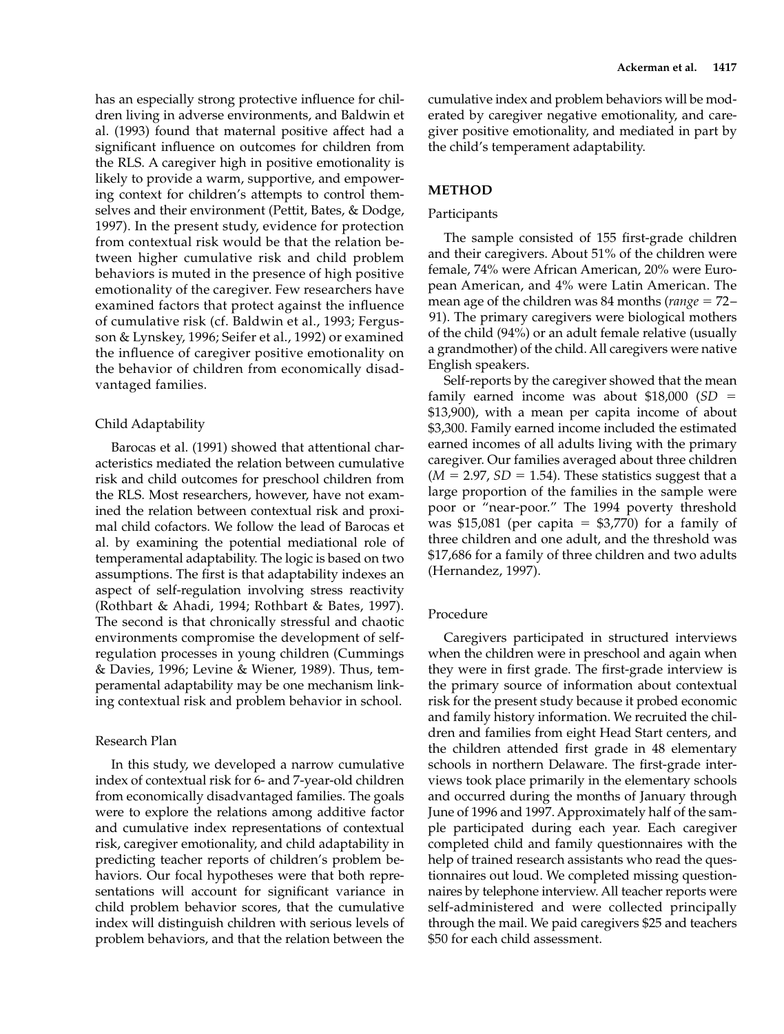has an especially strong protective influence for children living in adverse environments, and Baldwin et al. (1993) found that maternal positive affect had a significant influence on outcomes for children from the RLS. A caregiver high in positive emotionality is likely to provide a warm, supportive, and empowering context for children's attempts to control themselves and their environment (Pettit, Bates, & Dodge, 1997). In the present study, evidence for protection from contextual risk would be that the relation between higher cumulative risk and child problem behaviors is muted in the presence of high positive emotionality of the caregiver. Few researchers have examined factors that protect against the influence of cumulative risk (cf. Baldwin et al., 1993; Fergusson & Lynskey, 1996; Seifer et al., 1992) or examined the influence of caregiver positive emotionality on the behavior of children from economically disadvantaged families.

## Child Adaptability

Barocas et al. (1991) showed that attentional characteristics mediated the relation between cumulative risk and child outcomes for preschool children from the RLS. Most researchers, however, have not examined the relation between contextual risk and proximal child cofactors. We follow the lead of Barocas et al. by examining the potential mediational role of temperamental adaptability. The logic is based on two assumptions. The first is that adaptability indexes an aspect of self-regulation involving stress reactivity (Rothbart & Ahadi, 1994; Rothbart & Bates, 1997). The second is that chronically stressful and chaotic environments compromise the development of selfregulation processes in young children (Cummings & Davies, 1996; Levine & Wiener, 1989). Thus, temperamental adaptability may be one mechanism linking contextual risk and problem behavior in school.

## Research Plan

In this study, we developed a narrow cumulative index of contextual risk for 6- and 7-year-old children from economically disadvantaged families. The goals were to explore the relations among additive factor and cumulative index representations of contextual risk, caregiver emotionality, and child adaptability in predicting teacher reports of children's problem behaviors. Our focal hypotheses were that both representations will account for significant variance in child problem behavior scores, that the cumulative index will distinguish children with serious levels of problem behaviors, and that the relation between the

cumulative index and problem behaviors will be moderated by caregiver negative emotionality, and caregiver positive emotionality, and mediated in part by the child's temperament adaptability.

# **METHOD**

#### Participants

The sample consisted of 155 first-grade children and their caregivers. About 51% of the children were female, 74% were African American, 20% were European American, and 4% were Latin American. The mean age of the children was 84 months (*range* 5 72– 91). The primary caregivers were biological mothers of the child (94%) or an adult female relative (usually a grandmother) of the child. All caregivers were native English speakers.

Self-reports by the caregiver showed that the mean family earned income was about  $$18,000$  (*SD* = \$13,900), with a mean per capita income of about \$3,300. Family earned income included the estimated earned incomes of all adults living with the primary caregiver. Our families averaged about three children  $(M = 2.97, SD = 1.54)$ . These statistics suggest that a large proportion of the families in the sample were poor or "near-poor." The 1994 poverty threshold was \$15,081 (per capita =  $$3,770$ ) for a family of three children and one adult, and the threshold was \$17,686 for a family of three children and two adults (Hernandez, 1997).

## Procedure

Caregivers participated in structured interviews when the children were in preschool and again when they were in first grade. The first-grade interview is the primary source of information about contextual risk for the present study because it probed economic and family history information. We recruited the children and families from eight Head Start centers, and the children attended first grade in 48 elementary schools in northern Delaware. The first-grade interviews took place primarily in the elementary schools and occurred during the months of January through June of 1996 and 1997. Approximately half of the sample participated during each year. Each caregiver completed child and family questionnaires with the help of trained research assistants who read the questionnaires out loud. We completed missing questionnaires by telephone interview. All teacher reports were self-administered and were collected principally through the mail. We paid caregivers \$25 and teachers \$50 for each child assessment.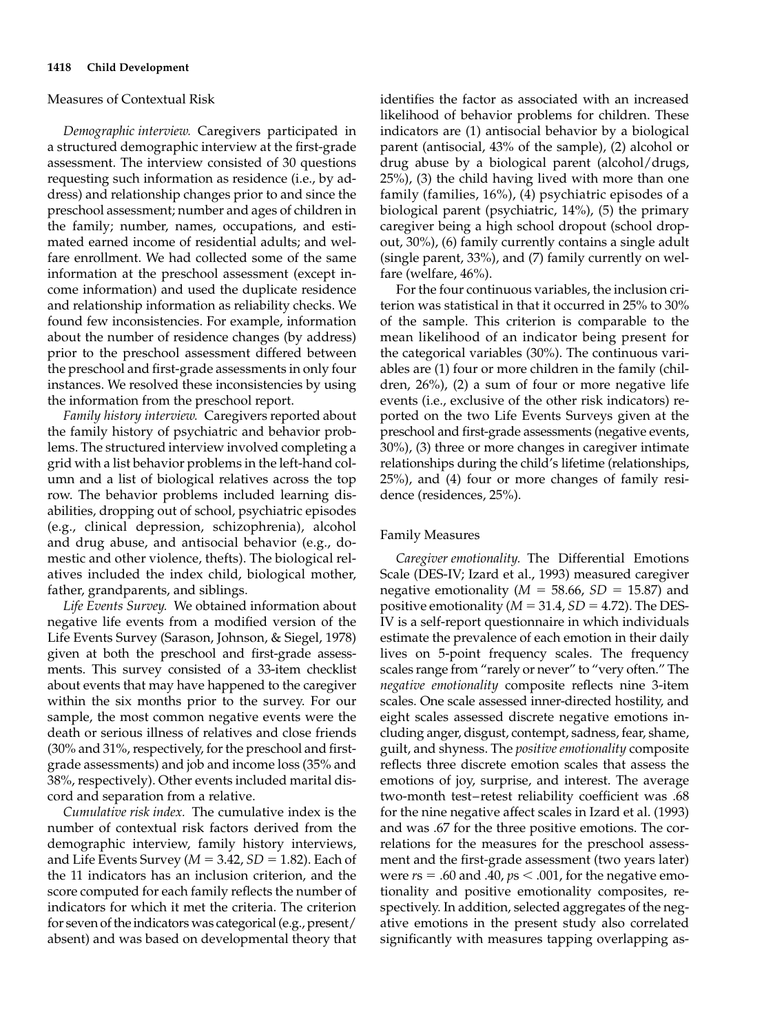#### Measures of Contextual Risk

*Demographic interview.* Caregivers participated in a structured demographic interview at the first-grade assessment. The interview consisted of 30 questions requesting such information as residence (i.e., by address) and relationship changes prior to and since the preschool assessment; number and ages of children in the family; number, names, occupations, and estimated earned income of residential adults; and welfare enrollment. We had collected some of the same information at the preschool assessment (except income information) and used the duplicate residence and relationship information as reliability checks. We found few inconsistencies. For example, information about the number of residence changes (by address) prior to the preschool assessment differed between the preschool and first-grade assessments in only four instances. We resolved these inconsistencies by using the information from the preschool report.

*Family history interview.* Caregivers reported about the family history of psychiatric and behavior problems. The structured interview involved completing a grid with a list behavior problems in the left-hand column and a list of biological relatives across the top row. The behavior problems included learning disabilities, dropping out of school, psychiatric episodes (e.g., clinical depression, schizophrenia), alcohol and drug abuse, and antisocial behavior (e.g., domestic and other violence, thefts). The biological relatives included the index child, biological mother, father, grandparents, and siblings.

*Life Events Survey.* We obtained information about negative life events from a modified version of the Life Events Survey (Sarason, Johnson, & Siegel, 1978) given at both the preschool and first-grade assessments. This survey consisted of a 33-item checklist about events that may have happened to the caregiver within the six months prior to the survey. For our sample, the most common negative events were the death or serious illness of relatives and close friends (30% and 31%, respectively, for the preschool and firstgrade assessments) and job and income loss (35% and 38%, respectively). Other events included marital discord and separation from a relative.

*Cumulative risk index.* The cumulative index is the number of contextual risk factors derived from the demographic interview, family history interviews, and Life Events Survey ( $M = 3.42$ ,  $SD = 1.82$ ). Each of the 11 indicators has an inclusion criterion, and the score computed for each family reflects the number of indicators for which it met the criteria. The criterion for seven of the indicators was categorical (e.g., present/ absent) and was based on developmental theory that

identifies the factor as associated with an increased likelihood of behavior problems for children. These indicators are (1) antisocial behavior by a biological parent (antisocial, 43% of the sample), (2) alcohol or drug abuse by a biological parent (alcohol/drugs, 25%), (3) the child having lived with more than one family (families, 16%), (4) psychiatric episodes of a biological parent (psychiatric, 14%), (5) the primary caregiver being a high school dropout (school dropout, 30%), (6) family currently contains a single adult (single parent, 33%), and (7) family currently on welfare (welfare, 46%).

For the four continuous variables, the inclusion criterion was statistical in that it occurred in 25% to 30% of the sample. This criterion is comparable to the mean likelihood of an indicator being present for the categorical variables (30%). The continuous variables are (1) four or more children in the family (children, 26%), (2) a sum of four or more negative life events (i.e., exclusive of the other risk indicators) reported on the two Life Events Surveys given at the preschool and first-grade assessments (negative events, 30%), (3) three or more changes in caregiver intimate relationships during the child's lifetime (relationships, 25%), and (4) four or more changes of family residence (residences, 25%).

#### Family Measures

*Caregiver emotionality.* The Differential Emotions Scale (DES-IV; Izard et al., 1993) measured caregiver negative emotionality ( $M = 58.66$ ,  $SD = 15.87$ ) and positive emotionality ( $M = 31.4$ ,  $SD = 4.72$ ). The DES-IV is a self-report questionnaire in which individuals estimate the prevalence of each emotion in their daily lives on 5-point frequency scales. The frequency scales range from "rarely or never" to "very often." The *negative emotionality* composite reflects nine 3-item scales. One scale assessed inner-directed hostility, and eight scales assessed discrete negative emotions including anger, disgust, contempt, sadness, fear, shame, guilt, and shyness. The *positive emotionality* composite reflects three discrete emotion scales that assess the emotions of joy, surprise, and interest. The average two-month test–retest reliability coefficient was .68 for the nine negative affect scales in Izard et al. (1993) and was .67 for the three positive emotions. The correlations for the measures for the preschool assessment and the first-grade assessment (two years later) were  $rs = .60$  and  $.40$ ,  $ps < .001$ , for the negative emotionality and positive emotionality composites, respectively. In addition, selected aggregates of the negative emotions in the present study also correlated significantly with measures tapping overlapping as-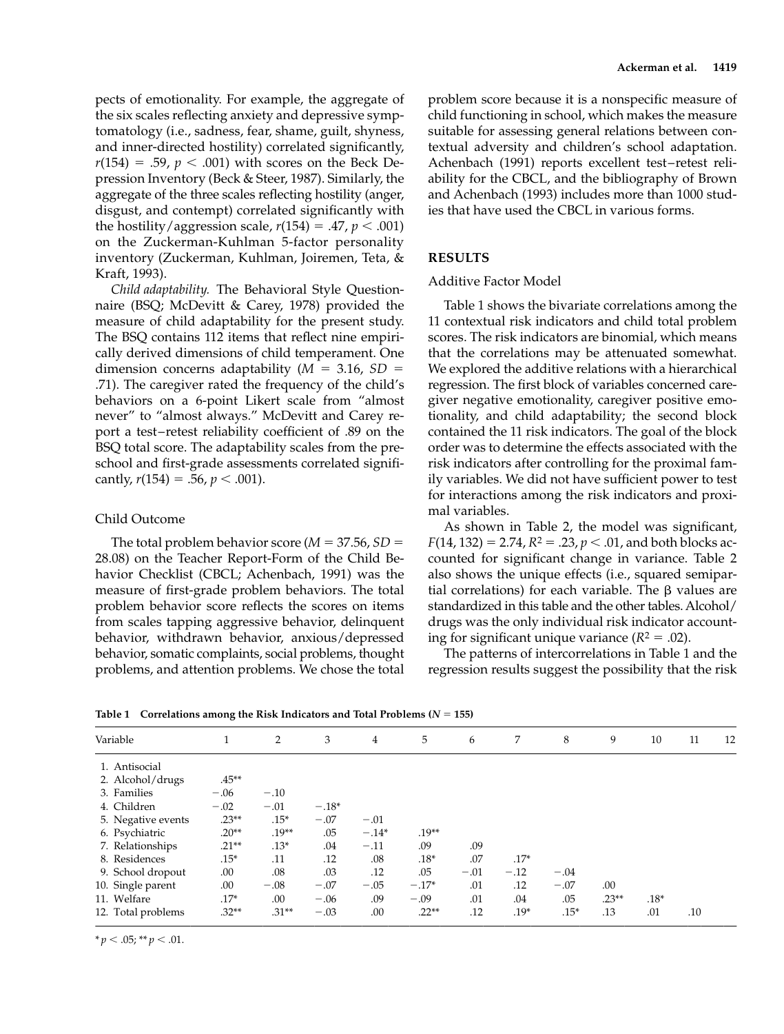pects of emotionality. For example, the aggregate of the six scales reflecting anxiety and depressive symptomatology (i.e., sadness, fear, shame, guilt, shyness, and inner-directed hostility) correlated significantly,  $r(154) = .59$ ,  $p < .001$ ) with scores on the Beck Depression Inventory (Beck & Steer, 1987). Similarly, the aggregate of the three scales reflecting hostility (anger, disgust, and contempt) correlated significantly with the hostility/aggression scale,  $r(154) = .47$ ,  $p < .001$ ) on the Zuckerman-Kuhlman 5-factor personality inventory (Zuckerman, Kuhlman, Joiremen, Teta, & Kraft, 1993).

*Child adaptability.* The Behavioral Style Questionnaire (BSQ; McDevitt & Carey, 1978) provided the measure of child adaptability for the present study. The BSQ contains 112 items that reflect nine empirically derived dimensions of child temperament. One dimension concerns adaptability ( $M = 3.16$ ,  $SD =$ .71). The caregiver rated the frequency of the child's behaviors on a 6-point Likert scale from "almost never" to "almost always." McDevitt and Carey report a test–retest reliability coefficient of .89 on the BSQ total score. The adaptability scales from the preschool and first-grade assessments correlated significantly,  $r(154) = .56$ ,  $p < .001$ ).

#### Child Outcome

The total problem behavior score ( $M = 37.56$ ,  $SD =$ 28.08) on the Teacher Report-Form of the Child Behavior Checklist (CBCL; Achenbach, 1991) was the measure of first-grade problem behaviors. The total problem behavior score reflects the scores on items from scales tapping aggressive behavior, delinquent behavior, withdrawn behavior, anxious/depressed behavior, somatic complaints, social problems, thought problems, and attention problems. We chose the total problem score because it is a nonspecific measure of child functioning in school, which makes the measure suitable for assessing general relations between contextual adversity and children's school adaptation. Achenbach (1991) reports excellent test–retest reliability for the CBCL, and the bibliography of Brown and Achenbach (1993) includes more than 1000 studies that have used the CBCL in various forms.

## **RESULTS**

#### Additive Factor Model

Table 1 shows the bivariate correlations among the 11 contextual risk indicators and child total problem scores. The risk indicators are binomial, which means that the correlations may be attenuated somewhat. We explored the additive relations with a hierarchical regression. The first block of variables concerned caregiver negative emotionality, caregiver positive emotionality, and child adaptability; the second block contained the 11 risk indicators. The goal of the block order was to determine the effects associated with the risk indicators after controlling for the proximal family variables. We did not have sufficient power to test for interactions among the risk indicators and proximal variables.

As shown in Table 2, the model was significant,  $F(14, 132) = 2.74$ ,  $R^2 = .23$ ,  $p < .01$ , and both blocks accounted for significant change in variance. Table 2 also shows the unique effects (i.e., squared semipartial correlations) for each variable. The  $\beta$  values are standardized in this table and the other tables. Alcohol/ drugs was the only individual risk indicator accounting for significant unique variance  $(R^2 = .02)$ .

The patterns of intercorrelations in Table 1 and the regression results suggest the possibility that the risk

Table 1 Correlations among the Risk Indicators and Total Problems  $(N = 155)$ 

| Variable                          |         | 2       | 3       | 4       | 5       | 6      | 7      | 8      | 9       | 10     | 11  | 12 |
|-----------------------------------|---------|---------|---------|---------|---------|--------|--------|--------|---------|--------|-----|----|
| 1. Antisocial<br>2. Alcohol/drugs | $.45**$ |         |         |         |         |        |        |        |         |        |     |    |
| 3. Families                       | $-.06$  | $-.10$  |         |         |         |        |        |        |         |        |     |    |
| 4. Children                       | $-.02$  | $-.01$  | $-.18*$ |         |         |        |        |        |         |        |     |    |
| 5. Negative events                | $.23**$ | $.15*$  | $-.07$  | $-.01$  |         |        |        |        |         |        |     |    |
| 6. Psychiatric                    | $.20**$ | $.19**$ | .05     | $-.14*$ | $.19**$ |        |        |        |         |        |     |    |
| 7. Relationships                  | $.21**$ | $.13*$  | .04     | $-.11$  | .09     | .09    |        |        |         |        |     |    |
| 8. Residences                     | $.15*$  | .11     | .12     | .08     | $.18*$  | .07    | $.17*$ |        |         |        |     |    |
| 9. School dropout                 | .00     | .08     | .03     | .12     | .05     | $-.01$ | $-.12$ | $-.04$ |         |        |     |    |
| 10. Single parent                 | .00     | $-.08$  | $-.07$  | $-.05$  | $-.17*$ | .01    | .12    | $-.07$ | .00     |        |     |    |
| 11. Welfare                       | $.17*$  | .00.    | $-.06$  | .09     | $-.09$  | .01    | .04    | .05    | $.23**$ | $.18*$ |     |    |
| 12. Total problems                | $.32**$ | $.31**$ | $-.03$  | .00     | $.22**$ | .12    | $.19*$ | $.15*$ | .13     | .01    | .10 |    |

 $* p < .05; ** p < .01.$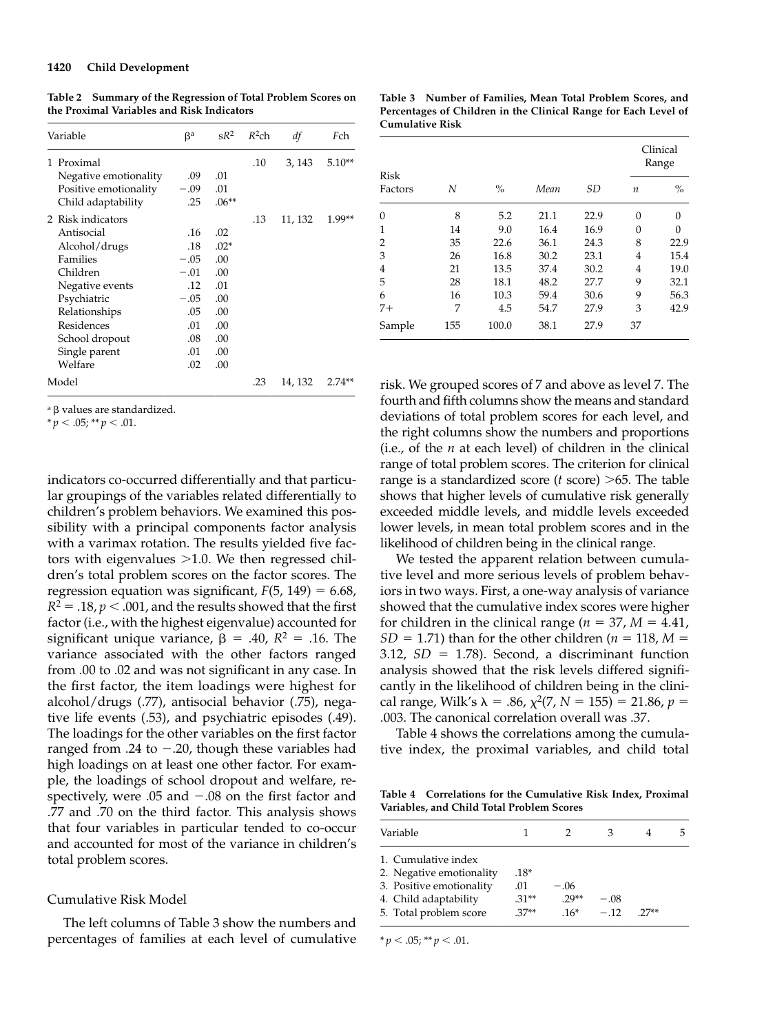**Table 2 Summary of the Regression of Total Problem Scores on the Proximal Variables and Risk Indicators**

| Variable              | β <sup>a</sup> | $sR^2$   | $R^2$ ch | df      | Fch      |
|-----------------------|----------------|----------|----------|---------|----------|
| Proximal<br>1.        |                |          | .10      | 3, 143  | $5.10**$ |
| Negative emotionality | .09            | .01      |          |         |          |
| Positive emotionality | $-.09$         | .01      |          |         |          |
| Child adaptability    | .25            | $.06***$ |          |         |          |
| 2 Risk indicators     |                |          | .13      | 11, 132 | 1.99**   |
| Antisocial            | .16            | .02      |          |         |          |
| Alcohol/drugs         | .18            | $.02*$   |          |         |          |
| Families              | $-.05$         | .00      |          |         |          |
| Children              | $-.01$         | .00      |          |         |          |
| Negative events       | .12            | .01      |          |         |          |
| Psychiatric           | $-.05$         | .00      |          |         |          |
| Relationships         | .05            | .00      |          |         |          |
| Residences            | .01            | .00      |          |         |          |
| School dropout        | .08            | .00      |          |         |          |
| Single parent         | .01            | .00      |          |         |          |
| Welfare               | .02            | .00      |          |         |          |
| Model                 |                |          | .23      | 14, 132 | $2.74**$ |

 $a \beta$  values are standardized.

 $* p < .05; ** p < .01.$ 

indicators co-occurred differentially and that particular groupings of the variables related differentially to children's problem behaviors. We examined this possibility with a principal components factor analysis with a varimax rotation. The results yielded five factors with eigenvalues  $>1.0$ . We then regressed children's total problem scores on the factor scores. The regression equation was significant,  $F(5, 149) = 6.68$ ,  $R^2 = .18$ ,  $p < .001$ , and the results showed that the first factor (i.e., with the highest eigenvalue) accounted for significant unique variance,  $\beta$  = .40,  $R^2$  = .16. The variance associated with the other factors ranged from .00 to .02 and was not significant in any case. In the first factor, the item loadings were highest for alcohol/drugs (.77), antisocial behavior (.75), negative life events (.53), and psychiatric episodes (.49). The loadings for the other variables on the first factor ranged from .24 to  $-$ .20, though these variables had high loadings on at least one other factor. For example, the loadings of school dropout and welfare, respectively, were  $.05$  and  $-.08$  on the first factor and .77 and .70 on the third factor. This analysis shows that four variables in particular tended to co-occur and accounted for most of the variance in children's total problem scores.

#### Cumulative Risk Model

The left columns of Table 3 show the numbers and percentages of families at each level of cumulative

**Table 3 Number of Families, Mean Total Problem Scores, and Percentages of Children in the Clinical Range for Each Level of Cumulative Risk**

|                 |     |               |      |      | Clinical<br>Range |          |  |
|-----------------|-----|---------------|------|------|-------------------|----------|--|
| Risk<br>Factors | N   | $\frac{0}{0}$ | Mean | SD   | п                 | $\%$     |  |
|                 |     |               |      |      |                   |          |  |
| $\overline{0}$  | 8   | 5.2           | 21.1 | 22.9 | $\theta$          | $\Omega$ |  |
| 1               | 14  | 9.0           | 16.4 | 16.9 | $\Omega$          | $\Omega$ |  |
| 2               | 35  | 22.6          | 36.1 | 24.3 | 8                 | 22.9     |  |
| 3               | 26  | 16.8          | 30.2 | 23.1 | 4                 | 15.4     |  |
| 4               | 21  | 13.5          | 37.4 | 30.2 | 4                 | 19.0     |  |
| 5               | 28  | 18.1          | 48.2 | 27.7 | 9                 | 32.1     |  |
| 6               | 16  | 10.3          | 59.4 | 30.6 | 9                 | 56.3     |  |
| $7+$            | 7   | 4.5           | 54.7 | 27.9 | 3                 | 42.9     |  |
| Sample          | 155 | 100.0         | 38.1 | 27.9 | 37                |          |  |

risk. We grouped scores of 7 and above as level 7. The fourth and fifth columns show the means and standard deviations of total problem scores for each level, and the right columns show the numbers and proportions (i.e., of the *n* at each level) of children in the clinical range of total problem scores. The criterion for clinical range is a standardized score  $(t \text{ score}) >65$ . The table shows that higher levels of cumulative risk generally exceeded middle levels, and middle levels exceeded lower levels, in mean total problem scores and in the likelihood of children being in the clinical range.

We tested the apparent relation between cumulative level and more serious levels of problem behaviors in two ways. First, a one-way analysis of variance showed that the cumulative index scores were higher for children in the clinical range ( $n = 37$ ,  $M = 4.41$ ,  $SD = 1.71$ ) than for the other children ( $n = 118$ ,  $M =$ 3.12,  $SD = 1.78$ ). Second, a discriminant function analysis showed that the risk levels differed significantly in the likelihood of children being in the clinical range, Wilk's  $\lambda = .86$ ,  $\chi^2(7, N = 155) = 21.86$ ,  $p =$ .003. The canonical correlation overall was .37.

Table 4 shows the correlations among the cumulative index, the proximal variables, and child total

**Table 4 Correlations for the Cumulative Risk Index, Proximal Variables, and Child Total Problem Scores**

| Variable                                                                                                                       |                                     |                             | З                |        |  |
|--------------------------------------------------------------------------------------------------------------------------------|-------------------------------------|-----------------------------|------------------|--------|--|
| 1. Cumulative index<br>2. Negative emotionality<br>3. Positive emotionality<br>4. Child adaptability<br>5. Total problem score | $.18*$<br>.01<br>$.31**$<br>$.37**$ | $-.06$<br>$.29**$<br>$.16*$ | $-.08$<br>$-.12$ | $27**$ |  |

 $* p < .05; ** p < .01.$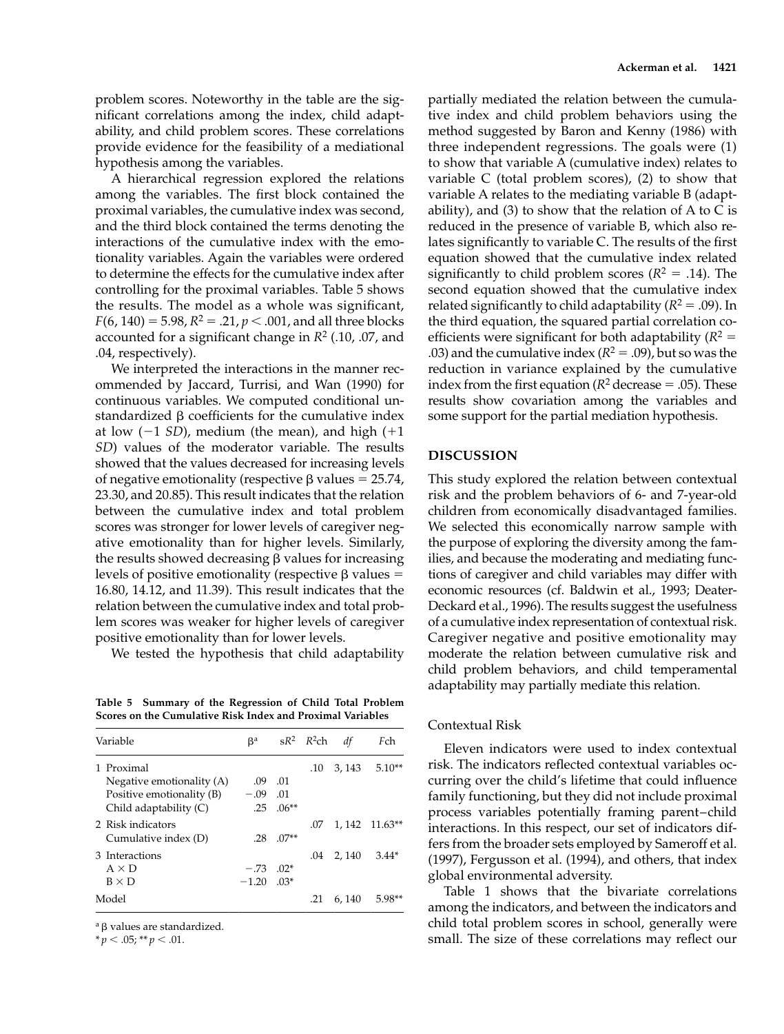problem scores. Noteworthy in the table are the significant correlations among the index, child adaptability, and child problem scores. These correlations provide evidence for the feasibility of a mediational hypothesis among the variables.

A hierarchical regression explored the relations among the variables. The first block contained the proximal variables, the cumulative index was second, and the third block contained the terms denoting the interactions of the cumulative index with the emotionality variables. Again the variables were ordered to determine the effects for the cumulative index after controlling for the proximal variables. Table 5 shows the results. The model as a whole was significant,  $F(6, 140) = 5.98$ ,  $R^2 = .21$ ,  $p < .001$ , and all three blocks accounted for a significant change in *R*2 (.10, .07, and .04, respectively).

We interpreted the interactions in the manner recommended by Jaccard, Turrisi, and Wan (1990) for continuous variables. We computed conditional unstandardized  $\beta$  coefficients for the cumulative index at low  $(-1 S D)$ , medium (the mean), and high  $(+1$ *SD*) values of the moderator variable. The results showed that the values decreased for increasing levels of negative emotionality (respective  $\beta$  values = 25.74, 23.30, and 20.85). This result indicates that the relation between the cumulative index and total problem scores was stronger for lower levels of caregiver negative emotionality than for higher levels. Similarly, the results showed decreasing  $\beta$  values for increasing levels of positive emotionality (respective  $\beta$  values = 16.80, 14.12, and 11.39). This result indicates that the relation between the cumulative index and total problem scores was weaker for higher levels of caregiver positive emotionality than for lower levels.

We tested the hypothesis that child adaptability

**Table 5 Summary of the Regression of Child Total Problem Scores on the Cumulative Risk Index and Proximal Variables**

| Variable |                                                                                                | $\beta^a$            |                       | $sR^2$ $R^2$ ch | df     | Fch               |
|----------|------------------------------------------------------------------------------------------------|----------------------|-----------------------|-----------------|--------|-------------------|
|          | 1 Proximal<br>Negative emotionality (A)<br>Positive emotionality (B)<br>Child adaptability (C) | .09<br>$-.09$<br>.25 | .01<br>.01<br>$.06**$ | .10             | 3, 143 | $5.10**$          |
|          | 2 Risk indicators<br>Cumulative index (D)                                                      | .28                  | $.07**$               | .07             |        | $1,142$ $11.63**$ |
|          | 3 Interactions<br>$A \times D$<br>$B \times D$                                                 | $-.73$<br>$-1.20$    | $.02*$<br>$.03*$      | .04             | 2.140  | $3.44*$           |
|          | Model                                                                                          |                      |                       | .21             | 6.140  | $5.98**$          |

 $a \beta$  values are standardized.

 $* p < .05; ** p < .01.$ 

partially mediated the relation between the cumulative index and child problem behaviors using the method suggested by Baron and Kenny (1986) with three independent regressions. The goals were (1) to show that variable A (cumulative index) relates to variable C (total problem scores), (2) to show that variable A relates to the mediating variable B (adaptability), and (3) to show that the relation of A to C is reduced in the presence of variable B, which also relates significantly to variable C. The results of the first equation showed that the cumulative index related significantly to child problem scores ( $R^2 = .14$ ). The second equation showed that the cumulative index related significantly to child adaptability  $(R^2 = .09)$ . In the third equation, the squared partial correlation coefficients were significant for both adaptability  $(R^2 =$ .03) and the cumulative index  $(R^2 = .09)$ , but so was the reduction in variance explained by the cumulative index from the first equation ( $R^2$  decrease = .05). These results show covariation among the variables and some support for the partial mediation hypothesis.

## **DISCUSSION**

This study explored the relation between contextual risk and the problem behaviors of 6- and 7-year-old children from economically disadvantaged families. We selected this economically narrow sample with the purpose of exploring the diversity among the families, and because the moderating and mediating functions of caregiver and child variables may differ with economic resources (cf. Baldwin et al., 1993; Deater-Deckard et al., 1996). The results suggest the usefulness of a cumulative index representation of contextual risk. Caregiver negative and positive emotionality may moderate the relation between cumulative risk and child problem behaviors, and child temperamental adaptability may partially mediate this relation.

#### Contextual Risk

Eleven indicators were used to index contextual risk. The indicators reflected contextual variables occurring over the child's lifetime that could influence family functioning, but they did not include proximal process variables potentially framing parent–child interactions. In this respect, our set of indicators differs from the broader sets employed by Sameroff et al. (1997), Fergusson et al. (1994), and others, that index global environmental adversity.

Table 1 shows that the bivariate correlations among the indicators, and between the indicators and child total problem scores in school, generally were small. The size of these correlations may reflect our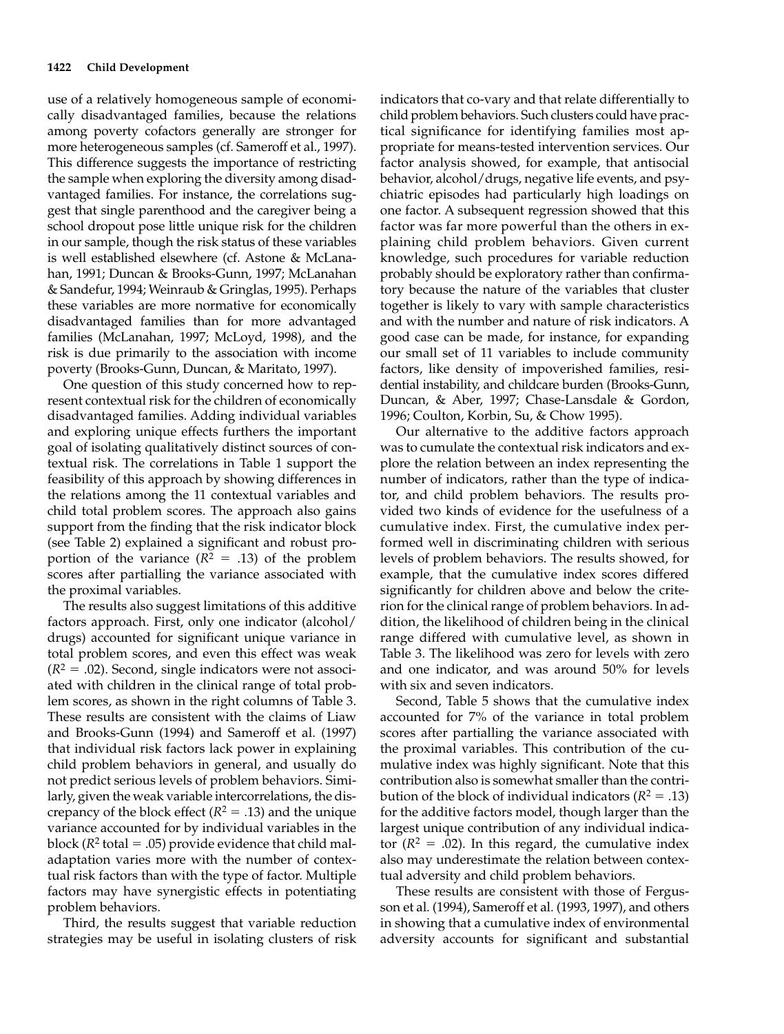use of a relatively homogeneous sample of economically disadvantaged families, because the relations among poverty cofactors generally are stronger for more heterogeneous samples (cf. Sameroff et al., 1997). This difference suggests the importance of restricting the sample when exploring the diversity among disadvantaged families. For instance, the correlations suggest that single parenthood and the caregiver being a school dropout pose little unique risk for the children in our sample, though the risk status of these variables is well established elsewhere (cf. Astone & McLanahan, 1991; Duncan & Brooks-Gunn, 1997; McLanahan & Sandefur, 1994; Weinraub & Gringlas, 1995). Perhaps these variables are more normative for economically disadvantaged families than for more advantaged families (McLanahan, 1997; McLoyd, 1998), and the risk is due primarily to the association with income poverty (Brooks-Gunn, Duncan, & Maritato, 1997).

One question of this study concerned how to represent contextual risk for the children of economically disadvantaged families. Adding individual variables and exploring unique effects furthers the important goal of isolating qualitatively distinct sources of contextual risk. The correlations in Table 1 support the feasibility of this approach by showing differences in the relations among the 11 contextual variables and child total problem scores. The approach also gains support from the finding that the risk indicator block (see Table 2) explained a significant and robust proportion of the variance  $(R^2 = .13)$  of the problem scores after partialling the variance associated with the proximal variables.

The results also suggest limitations of this additive factors approach. First, only one indicator (alcohol/ drugs) accounted for significant unique variance in total problem scores, and even this effect was weak  $(R<sup>2</sup> = .02)$ . Second, single indicators were not associated with children in the clinical range of total problem scores, as shown in the right columns of Table 3. These results are consistent with the claims of Liaw and Brooks-Gunn (1994) and Sameroff et al. (1997) that individual risk factors lack power in explaining child problem behaviors in general, and usually do not predict serious levels of problem behaviors. Similarly, given the weak variable intercorrelations, the discrepancy of the block effect ( $R^2 = .13$ ) and the unique variance accounted for by individual variables in the block ( $R^2$  total = .05) provide evidence that child maladaptation varies more with the number of contextual risk factors than with the type of factor. Multiple factors may have synergistic effects in potentiating problem behaviors.

Third, the results suggest that variable reduction strategies may be useful in isolating clusters of risk

indicators that co-vary and that relate differentially to child problem behaviors. Such clusters could have practical significance for identifying families most appropriate for means-tested intervention services. Our factor analysis showed, for example, that antisocial behavior, alcohol/drugs, negative life events, and psychiatric episodes had particularly high loadings on one factor. A subsequent regression showed that this factor was far more powerful than the others in explaining child problem behaviors. Given current knowledge, such procedures for variable reduction probably should be exploratory rather than confirmatory because the nature of the variables that cluster together is likely to vary with sample characteristics and with the number and nature of risk indicators. A good case can be made, for instance, for expanding our small set of 11 variables to include community factors, like density of impoverished families, residential instability, and childcare burden (Brooks-Gunn, Duncan, & Aber, 1997; Chase-Lansdale & Gordon, 1996; Coulton, Korbin, Su, & Chow 1995).

Our alternative to the additive factors approach was to cumulate the contextual risk indicators and explore the relation between an index representing the number of indicators, rather than the type of indicator, and child problem behaviors. The results provided two kinds of evidence for the usefulness of a cumulative index. First, the cumulative index performed well in discriminating children with serious levels of problem behaviors. The results showed, for example, that the cumulative index scores differed significantly for children above and below the criterion for the clinical range of problem behaviors. In addition, the likelihood of children being in the clinical range differed with cumulative level, as shown in Table 3. The likelihood was zero for levels with zero and one indicator, and was around 50% for levels with six and seven indicators.

Second, Table 5 shows that the cumulative index accounted for 7% of the variance in total problem scores after partialling the variance associated with the proximal variables. This contribution of the cumulative index was highly significant. Note that this contribution also is somewhat smaller than the contribution of the block of individual indicators ( $R^2 = .13$ ) for the additive factors model, though larger than the largest unique contribution of any individual indicator  $(R^2 = .02)$ . In this regard, the cumulative index also may underestimate the relation between contextual adversity and child problem behaviors.

These results are consistent with those of Fergusson et al. (1994), Sameroff et al. (1993, 1997), and others in showing that a cumulative index of environmental adversity accounts for significant and substantial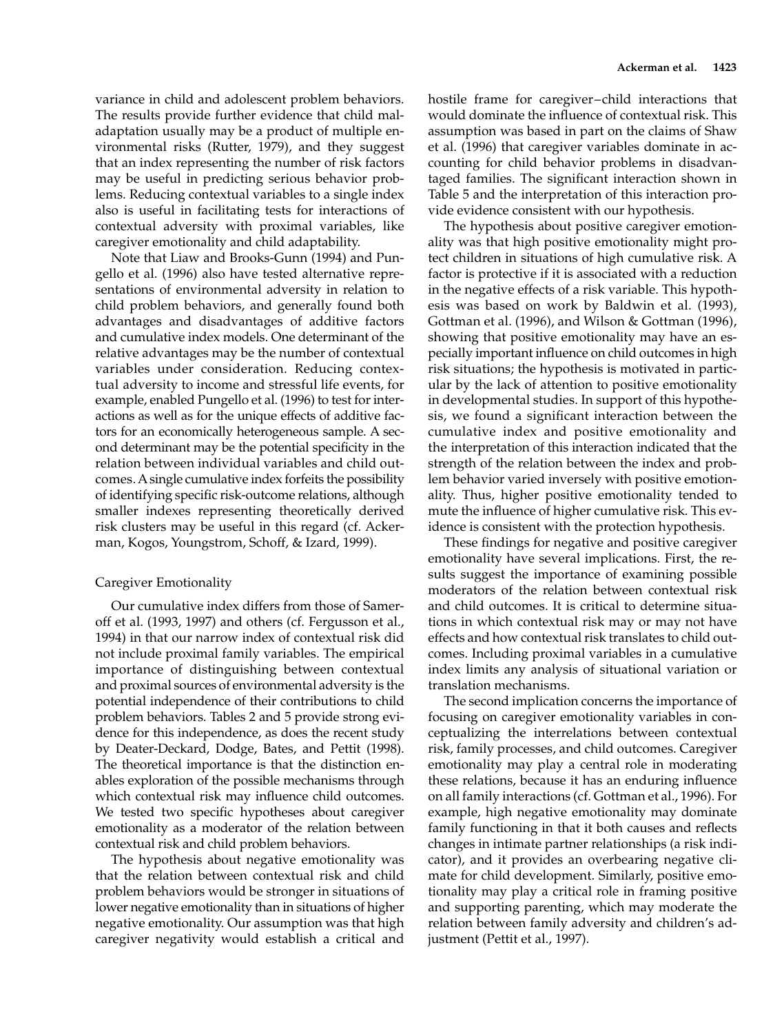variance in child and adolescent problem behaviors. The results provide further evidence that child maladaptation usually may be a product of multiple environmental risks (Rutter, 1979), and they suggest that an index representing the number of risk factors may be useful in predicting serious behavior problems. Reducing contextual variables to a single index also is useful in facilitating tests for interactions of contextual adversity with proximal variables, like caregiver emotionality and child adaptability.

Note that Liaw and Brooks-Gunn (1994) and Pungello et al. (1996) also have tested alternative representations of environmental adversity in relation to child problem behaviors, and generally found both advantages and disadvantages of additive factors and cumulative index models. One determinant of the relative advantages may be the number of contextual variables under consideration. Reducing contextual adversity to income and stressful life events, for example, enabled Pungello et al. (1996) to test for interactions as well as for the unique effects of additive factors for an economically heterogeneous sample. A second determinant may be the potential specificity in the relation between individual variables and child outcomes. A single cumulative index forfeits the possibility of identifying specific risk-outcome relations, although smaller indexes representing theoretically derived risk clusters may be useful in this regard (cf. Ackerman, Kogos, Youngstrom, Schoff, & Izard, 1999).

## Caregiver Emotionality

Our cumulative index differs from those of Sameroff et al. (1993, 1997) and others (cf. Fergusson et al., 1994) in that our narrow index of contextual risk did not include proximal family variables. The empirical importance of distinguishing between contextual and proximal sources of environmental adversity is the potential independence of their contributions to child problem behaviors. Tables 2 and 5 provide strong evidence for this independence, as does the recent study by Deater-Deckard, Dodge, Bates, and Pettit (1998). The theoretical importance is that the distinction enables exploration of the possible mechanisms through which contextual risk may influence child outcomes. We tested two specific hypotheses about caregiver emotionality as a moderator of the relation between contextual risk and child problem behaviors.

The hypothesis about negative emotionality was that the relation between contextual risk and child problem behaviors would be stronger in situations of lower negative emotionality than in situations of higher negative emotionality. Our assumption was that high caregiver negativity would establish a critical and hostile frame for caregiver–child interactions that would dominate the influence of contextual risk. This assumption was based in part on the claims of Shaw et al. (1996) that caregiver variables dominate in accounting for child behavior problems in disadvantaged families. The significant interaction shown in Table 5 and the interpretation of this interaction provide evidence consistent with our hypothesis.

The hypothesis about positive caregiver emotionality was that high positive emotionality might protect children in situations of high cumulative risk. A factor is protective if it is associated with a reduction in the negative effects of a risk variable. This hypothesis was based on work by Baldwin et al. (1993), Gottman et al. (1996), and Wilson & Gottman (1996), showing that positive emotionality may have an especially important influence on child outcomes in high risk situations; the hypothesis is motivated in particular by the lack of attention to positive emotionality in developmental studies. In support of this hypothesis, we found a significant interaction between the cumulative index and positive emotionality and the interpretation of this interaction indicated that the strength of the relation between the index and problem behavior varied inversely with positive emotionality. Thus, higher positive emotionality tended to mute the influence of higher cumulative risk. This evidence is consistent with the protection hypothesis.

These findings for negative and positive caregiver emotionality have several implications. First, the results suggest the importance of examining possible moderators of the relation between contextual risk and child outcomes. It is critical to determine situations in which contextual risk may or may not have effects and how contextual risk translates to child outcomes. Including proximal variables in a cumulative index limits any analysis of situational variation or translation mechanisms.

The second implication concerns the importance of focusing on caregiver emotionality variables in conceptualizing the interrelations between contextual risk, family processes, and child outcomes. Caregiver emotionality may play a central role in moderating these relations, because it has an enduring influence on all family interactions (cf. Gottman et al., 1996). For example, high negative emotionality may dominate family functioning in that it both causes and reflects changes in intimate partner relationships (a risk indicator), and it provides an overbearing negative climate for child development. Similarly, positive emotionality may play a critical role in framing positive and supporting parenting, which may moderate the relation between family adversity and children's adjustment (Pettit et al., 1997).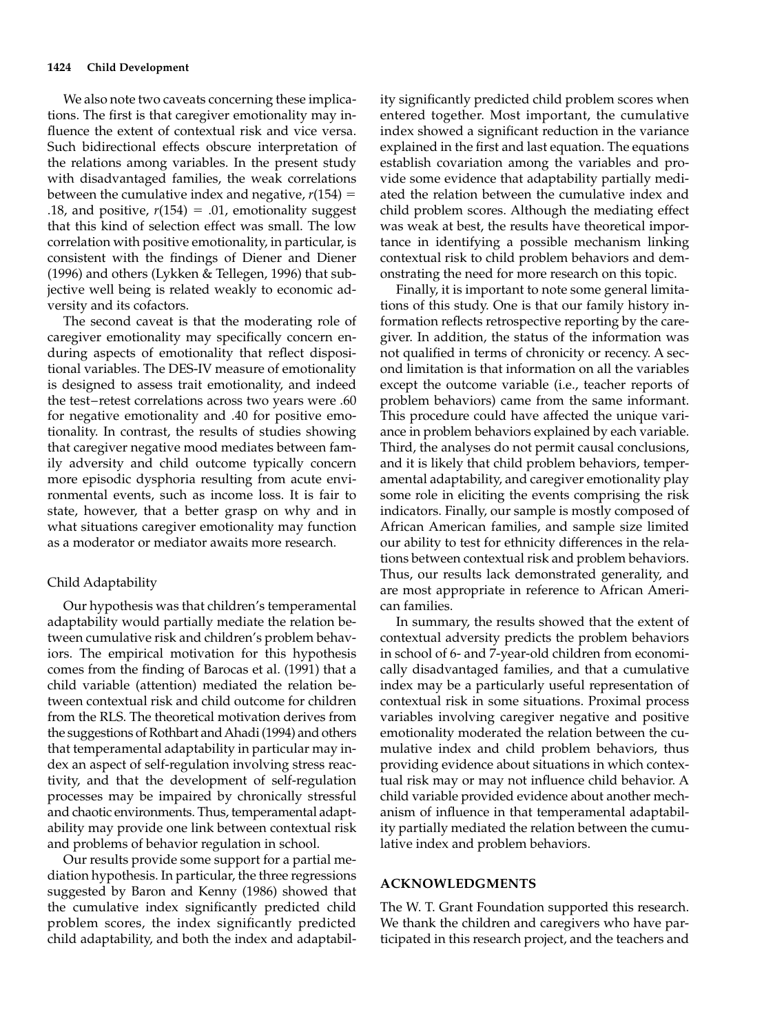#### **1424 Child Development**

We also note two caveats concerning these implications. The first is that caregiver emotionality may influence the extent of contextual risk and vice versa. Such bidirectional effects obscure interpretation of the relations among variables. In the present study with disadvantaged families, the weak correlations between the cumulative index and negative,  $r(154)$  = .18, and positive,  $r(154) = .01$ , emotionality suggest that this kind of selection effect was small. The low correlation with positive emotionality, in particular, is consistent with the findings of Diener and Diener (1996) and others (Lykken & Tellegen, 1996) that subjective well being is related weakly to economic adversity and its cofactors.

The second caveat is that the moderating role of caregiver emotionality may specifically concern enduring aspects of emotionality that reflect dispositional variables. The DES-IV measure of emotionality is designed to assess trait emotionality, and indeed the test–retest correlations across two years were .60 for negative emotionality and .40 for positive emotionality. In contrast, the results of studies showing that caregiver negative mood mediates between family adversity and child outcome typically concern more episodic dysphoria resulting from acute environmental events, such as income loss. It is fair to state, however, that a better grasp on why and in what situations caregiver emotionality may function as a moderator or mediator awaits more research.

#### Child Adaptability

Our hypothesis was that children's temperamental adaptability would partially mediate the relation between cumulative risk and children's problem behaviors. The empirical motivation for this hypothesis comes from the finding of Barocas et al. (1991) that a child variable (attention) mediated the relation between contextual risk and child outcome for children from the RLS. The theoretical motivation derives from the suggestions of Rothbart and Ahadi (1994) and others that temperamental adaptability in particular may index an aspect of self-regulation involving stress reactivity, and that the development of self-regulation processes may be impaired by chronically stressful and chaotic environments. Thus, temperamental adaptability may provide one link between contextual risk and problems of behavior regulation in school.

Our results provide some support for a partial mediation hypothesis. In particular, the three regressions suggested by Baron and Kenny (1986) showed that the cumulative index significantly predicted child problem scores, the index significantly predicted child adaptability, and both the index and adaptability significantly predicted child problem scores when entered together. Most important, the cumulative index showed a significant reduction in the variance explained in the first and last equation. The equations establish covariation among the variables and provide some evidence that adaptability partially mediated the relation between the cumulative index and child problem scores. Although the mediating effect was weak at best, the results have theoretical importance in identifying a possible mechanism linking contextual risk to child problem behaviors and demonstrating the need for more research on this topic.

Finally, it is important to note some general limitations of this study. One is that our family history information reflects retrospective reporting by the caregiver. In addition, the status of the information was not qualified in terms of chronicity or recency. A second limitation is that information on all the variables except the outcome variable (i.e., teacher reports of problem behaviors) came from the same informant. This procedure could have affected the unique variance in problem behaviors explained by each variable. Third, the analyses do not permit causal conclusions, and it is likely that child problem behaviors, temperamental adaptability, and caregiver emotionality play some role in eliciting the events comprising the risk indicators. Finally, our sample is mostly composed of African American families, and sample size limited our ability to test for ethnicity differences in the relations between contextual risk and problem behaviors. Thus, our results lack demonstrated generality, and are most appropriate in reference to African American families.

In summary, the results showed that the extent of contextual adversity predicts the problem behaviors in school of 6- and 7-year-old children from economically disadvantaged families, and that a cumulative index may be a particularly useful representation of contextual risk in some situations. Proximal process variables involving caregiver negative and positive emotionality moderated the relation between the cumulative index and child problem behaviors, thus providing evidence about situations in which contextual risk may or may not influence child behavior. A child variable provided evidence about another mechanism of influence in that temperamental adaptability partially mediated the relation between the cumulative index and problem behaviors.

## **ACKNOWLEDGMENTS**

The W. T. Grant Foundation supported this research. We thank the children and caregivers who have participated in this research project, and the teachers and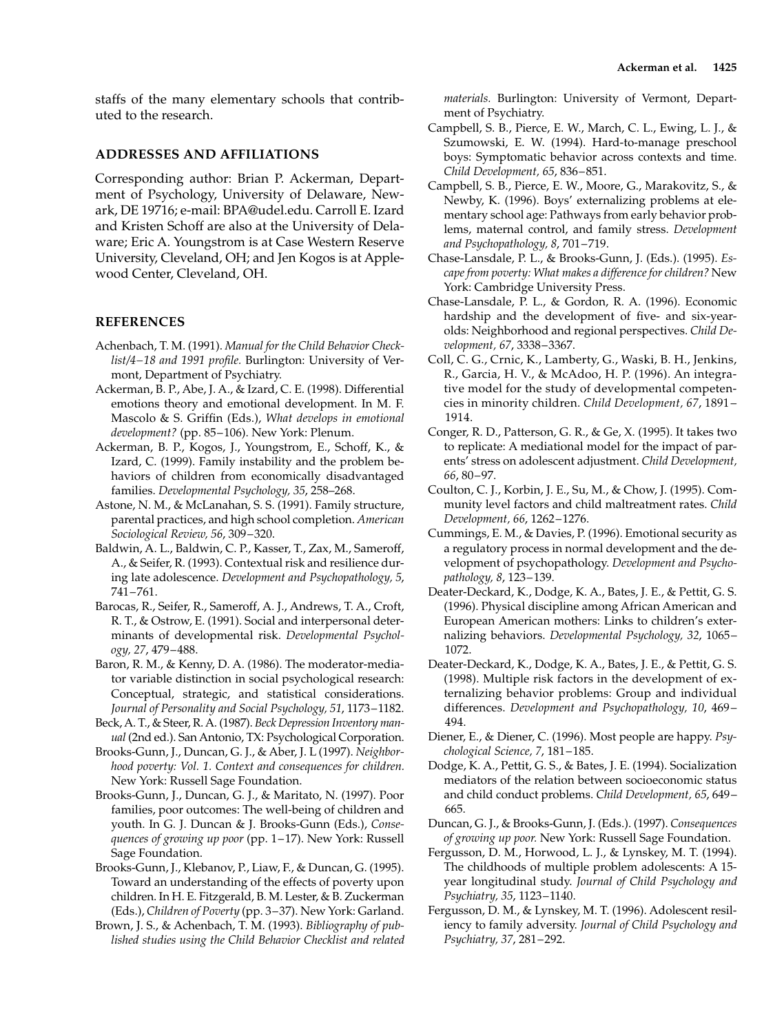staffs of the many elementary schools that contributed to the research.

## **ADDRESSES AND AFFILIATIONS**

Corresponding author: Brian P. Ackerman, Department of Psychology, University of Delaware, Newark, DE 19716; e-mail: BPA@udel.edu. Carroll E. Izard and Kristen Schoff are also at the University of Delaware; Eric A. Youngstrom is at Case Western Reserve University, Cleveland, OH; and Jen Kogos is at Applewood Center, Cleveland, OH.

#### **REFERENCES**

- Achenbach, T. M. (1991). *Manual for the Child Behavior Checklist/4–18 and 1991 profile.* Burlington: University of Vermont, Department of Psychiatry.
- Ackerman, B. P., Abe, J. A., & Izard, C. E. (1998). Differential emotions theory and emotional development. In M. F. Mascolo & S. Griffin (Eds.), *What develops in emotional development?* (pp. 85–106). New York: Plenum.
- Ackerman, B. P., Kogos, J., Youngstrom, E., Schoff, K., & Izard, C. (1999). Family instability and the problem behaviors of children from economically disadvantaged families. *Developmental Psychology, 35*, 258–268.
- Astone, N. M., & McLanahan, S. S. (1991). Family structure, parental practices, and high school completion. *American Sociological Review, 56*, 309–320.
- Baldwin, A. L., Baldwin, C. P., Kasser, T., Zax, M., Sameroff, A., & Seifer, R. (1993). Contextual risk and resilience during late adolescence. *Development and Psychopathology, 5*, 741–761.
- Barocas, R., Seifer, R., Sameroff, A. J., Andrews, T. A., Croft, R. T., & Ostrow, E. (1991). Social and interpersonal determinants of developmental risk. *Developmental Psychology, 27*, 479–488.
- Baron, R. M., & Kenny, D. A. (1986). The moderator-mediator variable distinction in social psychological research: Conceptual, strategic, and statistical considerations. *Journal of Personality and Social Psychology, 51*, 1173–1182.
- Beck, A. T., & Steer, R. A. (1987). *Beck Depression Inventory manual* (2nd ed.). San Antonio, TX: Psychological Corporation.
- Brooks-Gunn, J., Duncan, G. J., & Aber, J. L (1997). *Neighborhood poverty: Vol. 1. Context and consequences for children.* New York: Russell Sage Foundation.
- Brooks-Gunn, J., Duncan, G. J., & Maritato, N. (1997). Poor families, poor outcomes: The well-being of children and youth. In G. J. Duncan & J. Brooks-Gunn (Eds.), *Consequences of growing up poor* (pp. 1–17). New York: Russell Sage Foundation.
- Brooks-Gunn, J., Klebanov, P., Liaw, F., & Duncan, G. (1995). Toward an understanding of the effects of poverty upon children. In H. E. Fitzgerald, B. M. Lester, & B. Zuckerman (Eds.), *Children of Poverty* (pp. 3–37). New York: Garland.
- Brown, J. S., & Achenbach, T. M. (1993). *Bibliography of published studies using the Child Behavior Checklist and related*

*materials.* Burlington: University of Vermont, Department of Psychiatry.

- Campbell, S. B., Pierce, E. W., March, C. L., Ewing, L. J., & Szumowski, E. W. (1994). Hard-to-manage preschool boys: Symptomatic behavior across contexts and time. *Child Development, 65*, 836–851.
- Campbell, S. B., Pierce, E. W., Moore, G., Marakovitz, S., & Newby, K. (1996). Boys' externalizing problems at elementary school age: Pathways from early behavior problems, maternal control, and family stress. *Development and Psychopathology, 8*, 701–719.
- Chase-Lansdale, P. L., & Brooks-Gunn, J. (Eds.). (1995). *Escape from poverty: What makes a difference for children?* New York: Cambridge University Press.
- Chase-Lansdale, P. L., & Gordon, R. A. (1996). Economic hardship and the development of five- and six-yearolds: Neighborhood and regional perspectives. *Child Development, 67*, 3338–3367.
- Coll, C. G., Crnic, K., Lamberty, G., Waski, B. H., Jenkins, R., Garcia, H. V., & McAdoo, H. P. (1996). An integrative model for the study of developmental competencies in minority children. *Child Development, 67*, 1891– 1914.
- Conger, R. D., Patterson, G. R., & Ge, X. (1995). It takes two to replicate: A mediational model for the impact of parents' stress on adolescent adjustment. *Child Development, 66*, 80–97.
- Coulton, C. J., Korbin, J. E., Su, M., & Chow, J. (1995). Community level factors and child maltreatment rates. *Child Development, 66*, 1262–1276.
- Cummings, E. M., & Davies, P. (1996). Emotional security as a regulatory process in normal development and the development of psychopathology. *Development and Psychopathology, 8*, 123–139.
- Deater-Deckard, K., Dodge, K. A., Bates, J. E., & Pettit, G. S. (1996). Physical discipline among African American and European American mothers: Links to children's externalizing behaviors. *Developmental Psychology, 32*, 1065– 1072.
- Deater-Deckard, K., Dodge, K. A., Bates, J. E., & Pettit, G. S. (1998). Multiple risk factors in the development of externalizing behavior problems: Group and individual differences. *Development and Psychopathology, 10*, 469– 494.
- Diener, E., & Diener, C. (1996). Most people are happy. *Psychological Science, 7*, 181–185.
- Dodge, K. A., Pettit, G. S., & Bates, J. E. (1994). Socialization mediators of the relation between socioeconomic status and child conduct problems. *Child Development, 65*, 649– 665.
- Duncan, G. J., & Brooks-Gunn, J. (Eds.). (1997). *Consequences of growing up poor.* New York: Russell Sage Foundation.
- Fergusson, D. M., Horwood, L. J., & Lynskey, M. T. (1994). The childhoods of multiple problem adolescents: A 15 year longitudinal study. *Journal of Child Psychology and Psychiatry, 35*, 1123–1140.
- Fergusson, D. M., & Lynskey, M. T. (1996). Adolescent resiliency to family adversity. *Journal of Child Psychology and Psychiatry, 37*, 281–292.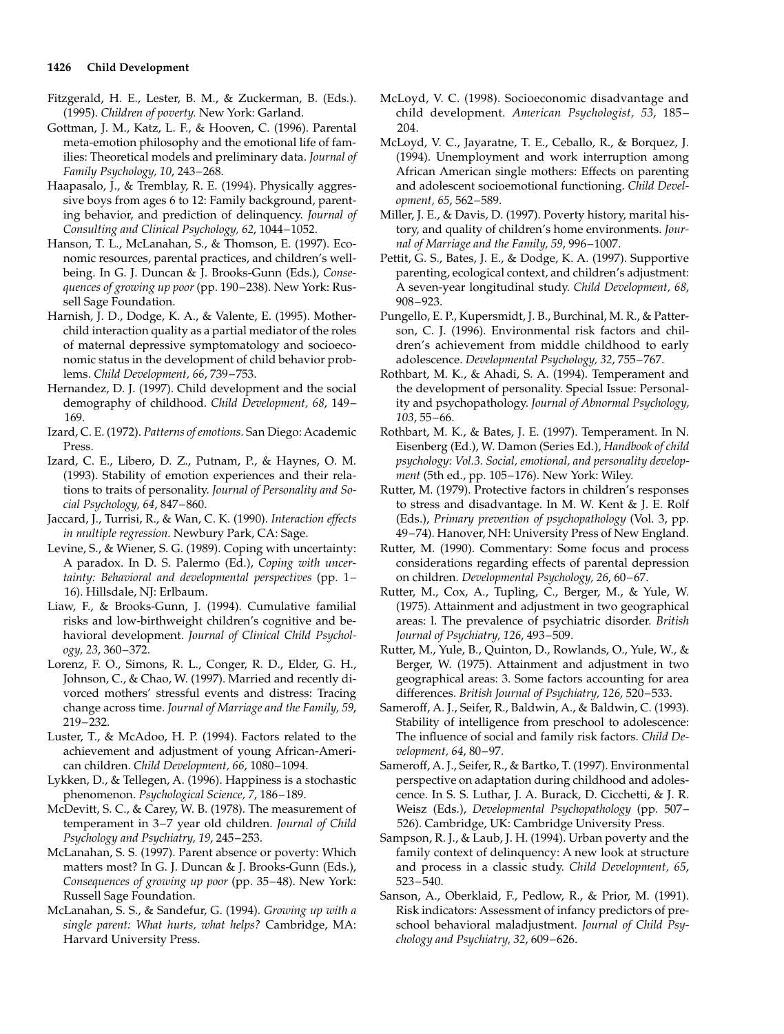- Fitzgerald, H. E., Lester, B. M., & Zuckerman, B. (Eds.). (1995). *Children of poverty.* New York: Garland.
- Gottman, J. M., Katz, L. F., & Hooven, C. (1996). Parental meta-emotion philosophy and the emotional life of families: Theoretical models and preliminary data. *Journal of Family Psychology, 10*, 243–268.
- Haapasalo, J., & Tremblay, R. E. (1994). Physically aggressive boys from ages 6 to 12: Family background, parenting behavior, and prediction of delinquency. *Journal of Consulting and Clinical Psychology, 62*, 1044–1052.
- Hanson, T. L., McLanahan, S., & Thomson, E. (1997). Economic resources, parental practices, and children's wellbeing. In G. J. Duncan & J. Brooks-Gunn (Eds.), *Consequences of growing up poor* (pp. 190–238). New York: Russell Sage Foundation.
- Harnish, J. D., Dodge, K. A., & Valente, E. (1995). Motherchild interaction quality as a partial mediator of the roles of maternal depressive symptomatology and socioeconomic status in the development of child behavior problems. *Child Development, 66*, 739–753.
- Hernandez, D. J. (1997). Child development and the social demography of childhood. *Child Development, 68*, 149– 169.
- Izard, C. E. (1972). *Patterns of emotions.* San Diego: Academic Press.
- Izard, C. E., Libero, D. Z., Putnam, P., & Haynes, O. M. (1993). Stability of emotion experiences and their relations to traits of personality. *Journal of Personality and Social Psychology, 64*, 847–860.
- Jaccard, J., Turrisi, R., & Wan, C. K. (1990). *Interaction effects in multiple regression.* Newbury Park, CA: Sage.
- Levine, S., & Wiener, S. G. (1989). Coping with uncertainty: A paradox. In D. S. Palermo (Ed.), *Coping with uncertainty: Behavioral and developmental perspectives* (pp. 1– 16). Hillsdale, NJ: Erlbaum.
- Liaw, F., & Brooks-Gunn, J. (1994). Cumulative familial risks and low-birthweight children's cognitive and behavioral development. *Journal of Clinical Child Psychology, 23*, 360–372.
- Lorenz, F. O., Simons, R. L., Conger, R. D., Elder, G. H., Johnson, C., & Chao, W. (1997). Married and recently divorced mothers' stressful events and distress: Tracing change across time. *Journal of Marriage and the Family, 59*, 219–232.
- Luster, T., & McAdoo, H. P. (1994). Factors related to the achievement and adjustment of young African-American children. *Child Development, 66*, 1080–1094.
- Lykken, D., & Tellegen, A. (1996). Happiness is a stochastic phenomenon. *Psychological Science, 7*, 186–189.
- McDevitt, S. C., & Carey, W. B. (1978). The measurement of temperament in 3–7 year old children. *Journal of Child Psychology and Psychiatry, 19*, 245–253.
- McLanahan, S. S. (1997). Parent absence or poverty: Which matters most? In G. J. Duncan & J. Brooks-Gunn (Eds.), *Consequences of growing up poor* (pp. 35–48). New York: Russell Sage Foundation.
- McLanahan, S. S., & Sandefur, G. (1994). *Growing up with a single parent: What hurts, what helps?* Cambridge, MA: Harvard University Press.
- McLoyd, V. C. (1998). Socioeconomic disadvantage and child development. *American Psychologist, 53*, 185– 204.
- McLoyd, V. C., Jayaratne, T. E., Ceballo, R., & Borquez, J. (1994). Unemployment and work interruption among African American single mothers: Effects on parenting and adolescent socioemotional functioning. *Child Development, 65*, 562–589.
- Miller, J. E., & Davis, D. (1997). Poverty history, marital history, and quality of children's home environments. *Journal of Marriage and the Family, 59*, 996–1007.
- Pettit, G. S., Bates, J. E., & Dodge, K. A. (1997). Supportive parenting, ecological context, and children's adjustment: A seven-year longitudinal study. *Child Development, 68*, 908–923.
- Pungello, E. P., Kupersmidt, J. B., Burchinal, M. R., & Patterson, C. J. (1996). Environmental risk factors and children's achievement from middle childhood to early adolescence. *Developmental Psychology, 32*, 755–767.
- Rothbart, M. K., & Ahadi, S. A. (1994). Temperament and the development of personality. Special Issue: Personality and psychopathology. *Journal of Abnormal Psychology, 103*, 55–66.
- Rothbart, M. K., & Bates, J. E. (1997). Temperament. In N. Eisenberg (Ed.), W. Damon (Series Ed.), *Handbook of child psychology: Vol.3. Social, emotional, and personality development* (5th ed., pp. 105–176). New York: Wiley.
- Rutter, M. (1979). Protective factors in children's responses to stress and disadvantage. In M. W. Kent & J. E. Rolf (Eds.), *Primary prevention of psychopathology* (Vol. 3, pp. 49–74). Hanover, NH: University Press of New England.
- Rutter, M. (1990). Commentary: Some focus and process considerations regarding effects of parental depression on children. *Developmental Psychology, 26*, 60–67.
- Rutter, M., Cox, A., Tupling, C., Berger, M., & Yule, W. (1975). Attainment and adjustment in two geographical areas: l. The prevalence of psychiatric disorder. *British Journal of Psychiatry, 126*, 493–509.
- Rutter, M., Yule, B., Quinton, D., Rowlands, O., Yule, W., & Berger, W. (1975). Attainment and adjustment in two geographical areas: 3. Some factors accounting for area differences. *British Journal of Psychiatry, 126*, 520–533.
- Sameroff, A. J., Seifer, R., Baldwin, A., & Baldwin, C. (1993). Stability of intelligence from preschool to adolescence: The influence of social and family risk factors. *Child Development, 64*, 80–97.
- Sameroff, A. J., Seifer, R., & Bartko, T. (1997). Environmental perspective on adaptation during childhood and adolescence. In S. S. Luthar, J. A. Burack, D. Cicchetti, & J. R. Weisz (Eds.), *Developmental Psychopathology* (pp. 507– 526). Cambridge, UK: Cambridge University Press.
- Sampson, R. J., & Laub, J. H. (1994). Urban poverty and the family context of delinquency: A new look at structure and process in a classic study. *Child Development, 65*, 523–540.
- Sanson, A., Oberklaid, F., Pedlow, R., & Prior, M. (1991). Risk indicators: Assessment of infancy predictors of preschool behavioral maladjustment. *Journal of Child Psychology and Psychiatry, 32*, 609–626.